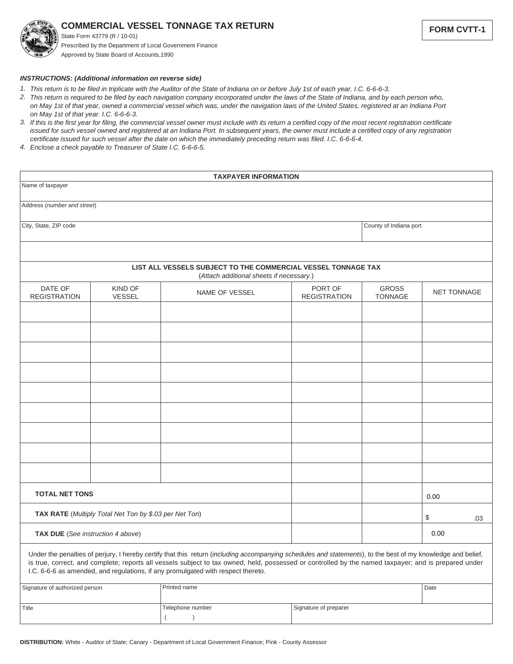**COMMERCIAL VESSEL TONNAGE TAX RETURN**

State Form 43779 (R / 10-01) Prescribed by the Department of Local Government Finance Approved by State Board of Accounts,1990

*INSTRUCTIONS: (Additional information on reverse side)*

- *This return is to be filed in triplicate with the Auditor of the State of Indiana on or before July 1st of each year. I.C. 6-6-6-3. 1.*
- *This return is required to be filed by each navigation company incorporated under the laws of the State of Indiana, and by each person who, 2. on May 1st of that year, owned a commercial vessel which was, under the navigation laws of the United States, registered at an Indiana Port on May 1st of that year. I.C. 6-6-6-3.*
- *If this is the first year for filing, the commercial vessel owner must include with its return a certified copy of the most recent registration certificate 3. issued for such vessel owned and registered at an Indiana Port. In subsequent years, the owner must include a certified copy of any registration certificate issued for such vessel after the date on which the immediately preceding return was filed. I.C. 6-6-6-4.*
- *Enclose a check payable to Treasurer of State I.C. 6-6-6-5. 4.*

| <b>TAXPAYER INFORMATION</b>                            |                          |                                                                                                                                                                                                                                                                                                                                                                                                          |                                          |                                |                                |                    |     |
|--------------------------------------------------------|--------------------------|----------------------------------------------------------------------------------------------------------------------------------------------------------------------------------------------------------------------------------------------------------------------------------------------------------------------------------------------------------------------------------------------------------|------------------------------------------|--------------------------------|--------------------------------|--------------------|-----|
| Name of taxpayer                                       |                          |                                                                                                                                                                                                                                                                                                                                                                                                          |                                          |                                |                                |                    |     |
| Address (number and street)                            |                          |                                                                                                                                                                                                                                                                                                                                                                                                          |                                          |                                |                                |                    |     |
| City, State, ZIP code                                  |                          |                                                                                                                                                                                                                                                                                                                                                                                                          |                                          |                                | County of Indiana port         |                    |     |
|                                                        |                          |                                                                                                                                                                                                                                                                                                                                                                                                          |                                          |                                |                                |                    |     |
|                                                        |                          | LIST ALL VESSELS SUBJECT TO THE COMMERCIAL VESSEL TONNAGE TAX                                                                                                                                                                                                                                                                                                                                            | (Attach additional sheets if necessary.) |                                |                                |                    |     |
| DATE OF<br><b>REGISTRATION</b>                         | KIND OF<br><b>VESSEL</b> | NAME OF VESSEL                                                                                                                                                                                                                                                                                                                                                                                           |                                          | PORT OF<br><b>REGISTRATION</b> | <b>GROSS</b><br><b>TONNAGE</b> | <b>NET TONNAGE</b> |     |
|                                                        |                          |                                                                                                                                                                                                                                                                                                                                                                                                          |                                          |                                |                                |                    |     |
|                                                        |                          |                                                                                                                                                                                                                                                                                                                                                                                                          |                                          |                                |                                |                    |     |
|                                                        |                          |                                                                                                                                                                                                                                                                                                                                                                                                          |                                          |                                |                                |                    |     |
|                                                        |                          |                                                                                                                                                                                                                                                                                                                                                                                                          |                                          |                                |                                |                    |     |
|                                                        |                          |                                                                                                                                                                                                                                                                                                                                                                                                          |                                          |                                |                                |                    |     |
|                                                        |                          |                                                                                                                                                                                                                                                                                                                                                                                                          |                                          |                                |                                |                    |     |
|                                                        |                          |                                                                                                                                                                                                                                                                                                                                                                                                          |                                          |                                |                                |                    |     |
|                                                        |                          |                                                                                                                                                                                                                                                                                                                                                                                                          |                                          |                                |                                |                    |     |
|                                                        |                          |                                                                                                                                                                                                                                                                                                                                                                                                          |                                          |                                |                                |                    |     |
| <b>TOTAL NET TONS</b>                                  |                          |                                                                                                                                                                                                                                                                                                                                                                                                          |                                          |                                |                                | 0.00               |     |
| TAX RATE (Multiply Total Net Ton by \$.03 per Net Ton) |                          |                                                                                                                                                                                                                                                                                                                                                                                                          |                                          |                                |                                | \$                 | .03 |
| TAX DUE (See instruction 4 above)                      |                          |                                                                                                                                                                                                                                                                                                                                                                                                          |                                          |                                |                                | 0.00               |     |
|                                                        |                          | Under the penalties of perjury, I hereby certify that this return (including accompanying schedules and statements), to the best of my knowledge and belief,<br>is true, correct, and complete; reports all vessels subject to tax owned, held, possessed or controlled by the named taxpayer; and is prepared under<br>I.C. 6-6-6 as amended, and regulations, if any promulgated with respect thereto. |                                          |                                |                                |                    |     |
| Signature of authorized person                         |                          | Printed name                                                                                                                                                                                                                                                                                                                                                                                             |                                          |                                |                                | Date               |     |
| Title                                                  |                          | Telephone number                                                                                                                                                                                                                                                                                                                                                                                         | Signature of preparer                    |                                |                                |                    |     |

 $($